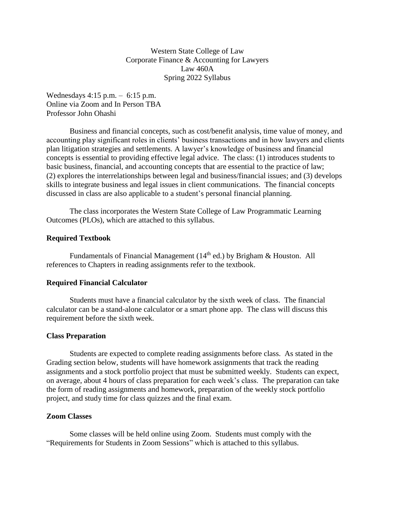Western State College of Law Corporate Finance & Accounting for Lawyers Law 460A Spring 2022 Syllabus

Wednesdays 4:15 p.m. – 6:15 p.m. Online via Zoom and In Person TBA Professor John Ohashi

Business and financial concepts, such as cost/benefit analysis, time value of money, and accounting play significant roles in clients' business transactions and in how lawyers and clients plan litigation strategies and settlements. A lawyer's knowledge of business and financial concepts is essential to providing effective legal advice. The class: (1) introduces students to basic business, financial, and accounting concepts that are essential to the practice of law; (2) explores the interrelationships between legal and business/financial issues; and (3) develops skills to integrate business and legal issues in client communications. The financial concepts discussed in class are also applicable to a student's personal financial planning.

The class incorporates the Western State College of Law Programmatic Learning Outcomes (PLOs), which are attached to this syllabus.

### **Required Textbook**

Fundamentals of Financial Management ( $14<sup>th</sup>$  ed.) by Brigham & Houston. All references to Chapters in reading assignments refer to the textbook.

### **Required Financial Calculator**

Students must have a financial calculator by the sixth week of class. The financial calculator can be a stand-alone calculator or a smart phone app. The class will discuss this requirement before the sixth week.

#### **Class Preparation**

Students are expected to complete reading assignments before class. As stated in the Grading section below, students will have homework assignments that track the reading assignments and a stock portfolio project that must be submitted weekly. Students can expect, on average, about 4 hours of class preparation for each week's class. The preparation can take the form of reading assignments and homework, preparation of the weekly stock portfolio project, and study time for class quizzes and the final exam.

### **Zoom Classes**

Some classes will be held online using Zoom. Students must comply with the "Requirements for Students in Zoom Sessions" which is attached to this syllabus.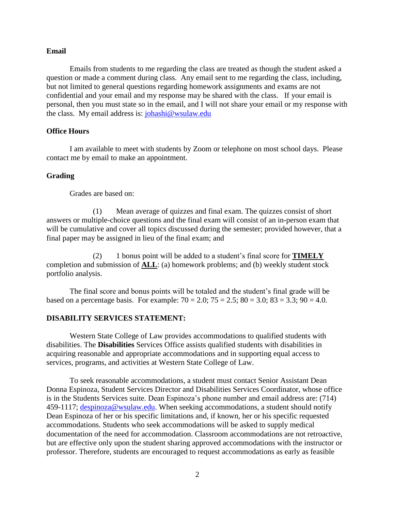#### **Email**

Emails from students to me regarding the class are treated as though the student asked a question or made a comment during class. Any email sent to me regarding the class, including, but not limited to general questions regarding homework assignments and exams are not confidential and your email and my response may be shared with the class. If your email is personal, then you must state so in the email, and I will not share your email or my response with the class. My email address is: [johashi@wsulaw.edu](mailto:johashi@wsulaw.edu)

## **Office Hours**

I am available to meet with students by Zoom or telephone on most school days. Please contact me by email to make an appointment.

### **Grading**

Grades are based on:

(1) Mean average of quizzes and final exam. The quizzes consist of short answers or multiple-choice questions and the final exam will consist of an in-person exam that will be cumulative and cover all topics discussed during the semester; provided however, that a final paper may be assigned in lieu of the final exam; and

(2) 1 bonus point will be added to a student's final score for **TIMELY** completion and submission of **ALL**: (a) homework problems; and (b) weekly student stock portfolio analysis.

The final score and bonus points will be totaled and the student's final grade will be based on a percentage basis. For example:  $70 = 2.0$ ;  $75 = 2.5$ ;  $80 = 3.0$ ;  $83 = 3.3$ ;  $90 = 4.0$ .

#### **DISABILITY SERVICES STATEMENT:**

Western State College of Law provides accommodations to qualified students with disabilities. The **Disabilities** Services Office assists qualified students with disabilities in acquiring reasonable and appropriate accommodations and in supporting equal access to services, programs, and activities at Western State College of Law.

To seek reasonable accommodations, a student must contact Senior Assistant Dean Donna Espinoza, Student Services Director and Disabilities Services Coordinator, whose office is in the Students Services suite. Dean Espinoza's phone number and email address are: (714) 459-1117; [despinoza@wsulaw.edu.](mailto:despinoza@wsulaw.edu) When seeking accommodations, a student should notify Dean Espinoza of her or his specific limitations and, if known, her or his specific requested accommodations. Students who seek accommodations will be asked to supply medical documentation of the need for accommodation. Classroom accommodations are not retroactive, but are effective only upon the student sharing approved accommodations with the instructor or professor. Therefore, students are encouraged to request accommodations as early as feasible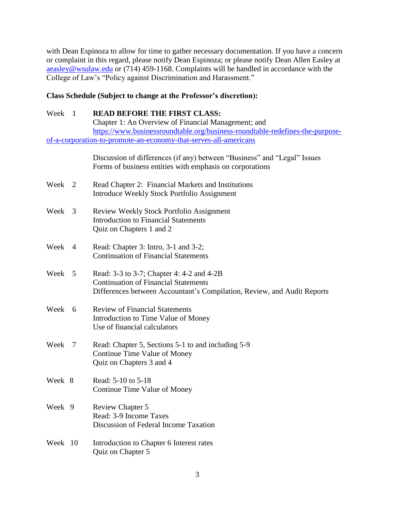with Dean Espinoza to allow for time to gather necessary documentation. If you have a concern or complaint in this regard, please notify Dean Espinoza; or please notify Dean Allen Easley at [aeasley@wsulaw.edu](mailto:aeasley@wsulaw.edu) or (714) 459-1168. Complaints will be handled in accordance with the College of Law's "Policy against Discrimination and Harassment."

## **Class Schedule (Subject to change at the Professor's discretion):**

# Week 1 **READ BEFORE THE FIRST CLASS:**

Chapter 1: An Overview of Financial Management; and [https://www.businessroundtable.org/business-roundtable-redefines-the-purpose](https://www.businessroundtable.org/business-roundtable-redefines-the-purpose-of-a-corporation-to-promote-an-economy-that-serves-all-americans)[of-a-corporation-to-promote-an-economy-that-serves-all-americans](https://www.businessroundtable.org/business-roundtable-redefines-the-purpose-of-a-corporation-to-promote-an-economy-that-serves-all-americans)

> Discussion of differences (if any) between "Business" and "Legal" Issues Forms of business entities with emphasis on corporations

- Week 2 Read Chapter 2: Financial Markets and Institutions Introduce Weekly Stock Portfolio Assignment
- Week 3 Review Weekly Stock Portfolio Assignment Introduction to Financial Statements Quiz on Chapters 1 and 2
- Week 4 Read: Chapter 3: Intro, 3-1 and 3-2; Continuation of Financial Statements
- Week 5 Read: 3-3 to 3-7; Chapter 4: 4-2 and 4-2B Continuation of Financial Statements Differences between Accountant's Compilation, Review, and Audit Reports
- Week 6 Review of Financial Statements Introduction to Time Value of Money Use of financial calculators
- Week 7 Read: Chapter 5, Sections 5-1 to and including 5-9 Continue Time Value of Money Quiz on Chapters 3 and 4
- Week 8 Read: 5-10 to 5-18 Continue Time Value of Money
- Week 9 Review Chapter 5 Read: 3-9 Income Taxes Discussion of Federal Income Taxation
- Week 10 Introduction to Chapter 6 Interest rates Quiz on Chapter 5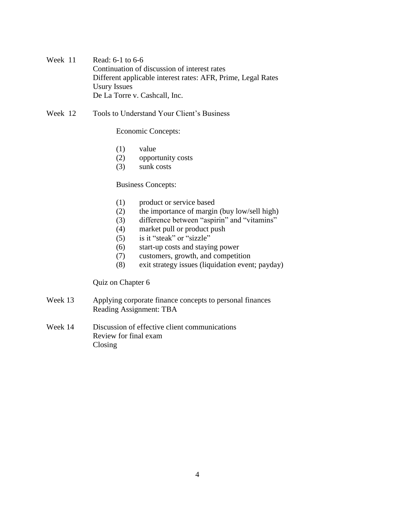Week 11 Read: 6-1 to 6-6 Continuation of discussion of interest rates Different applicable interest rates: AFR, Prime, Legal Rates Usury Issues De La Torre v. Cashcall, Inc.

Week 12 Tools to Understand Your Client's Business

Economic Concepts:

- (1) value
- (2) opportunity costs
- (3) sunk costs

Business Concepts:

- (1) product or service based
- (2) the importance of margin (buy low/sell high)
- (3) difference between "aspirin" and "vitamins"
- (4) market pull or product push
- (5) is it "steak" or "sizzle"
- (6) start-up costs and staying power
- (7) customers, growth, and competition
- (8) exit strategy issues (liquidation event; payday)

Quiz on Chapter 6

- Week 13 Applying corporate finance concepts to personal finances Reading Assignment: TBA
- Week 14 Discussion of effective client communications Review for final exam Closing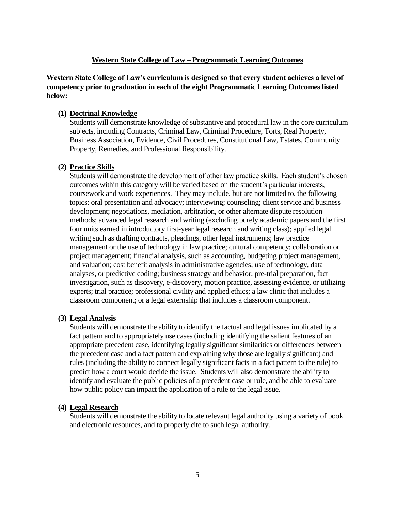# **Western State College of Law – Programmatic Learning Outcomes**

**Western State College of Law's curriculum is designed so that every student achieves a level of competency prior to graduation in each of the eight Programmatic Learning Outcomes listed below:**

## **(1) Doctrinal Knowledge**

Students will demonstrate knowledge of substantive and procedural law in the core curriculum subjects, including Contracts, Criminal Law, Criminal Procedure, Torts, Real Property, Business Association, Evidence, Civil Procedures, Constitutional Law, Estates, Community Property, Remedies, and Professional Responsibility.

## **(2) Practice Skills**

Students will demonstrate the development of other law practice skills. Each student's chosen outcomes within this category will be varied based on the student's particular interests, coursework and work experiences. They may include, but are not limited to, the following topics: oral presentation and advocacy; interviewing; counseling; client service and business development; negotiations, mediation, arbitration, or other alternate dispute resolution methods; advanced legal research and writing (excluding purely academic papers and the first four units earned in introductory first-year legal research and writing class); applied legal writing such as drafting contracts, pleadings, other legal instruments; law practice management or the use of technology in law practice; cultural competency; collaboration or project management; financial analysis, such as accounting, budgeting project management, and valuation; cost benefit analysis in administrative agencies; use of technology, data analyses, or predictive coding; business strategy and behavior; pre-trial preparation, fact investigation, such as discovery, e-discovery, motion practice, assessing evidence, or utilizing experts; trial practice; professional civility and applied ethics; a law clinic that includes a classroom component; or a legal externship that includes a classroom component.

## **(3) Legal Analysis**

Students will demonstrate the ability to identify the factual and legal issues implicated by a fact pattern and to appropriately use cases (including identifying the salient features of an appropriate precedent case, identifying legally significant similarities or differences between the precedent case and a fact pattern and explaining why those are legally significant) and rules (including the ability to connect legally significant facts in a fact pattern to the rule) to predict how a court would decide the issue. Students will also demonstrate the ability to identify and evaluate the public policies of a precedent case or rule, and be able to evaluate how public policy can impact the application of a rule to the legal issue.

## **(4) Legal Research**

Students will demonstrate the ability to locate relevant legal authority using a variety of book and electronic resources, and to properly cite to such legal authority.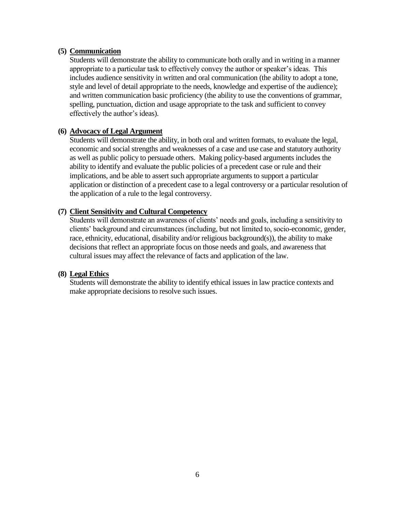## **(5) Communication**

Students will demonstrate the ability to communicate both orally and in writing in a manner appropriate to a particular task to effectively convey the author or speaker's ideas. This includes audience sensitivity in written and oral communication (the ability to adopt a tone, style and level of detail appropriate to the needs, knowledge and expertise of the audience); and written communication basic proficiency (the ability to use the conventions of grammar, spelling, punctuation, diction and usage appropriate to the task and sufficient to convey effectively the author's ideas).

## **(6) Advocacy of Legal Argument**

Students will demonstrate the ability, in both oral and written formats, to evaluate the legal, economic and social strengths and weaknesses of a case and use case and statutory authority as well as public policy to persuade others. Making policy-based arguments includes the ability to identify and evaluate the public policies of a precedent case or rule and their implications, and be able to assert such appropriate arguments to support a particular application or distinction of a precedent case to a legal controversy or a particular resolution of the application of a rule to the legal controversy.

## **(7) Client Sensitivity and Cultural Competency**

Students will demonstrate an awareness of clients' needs and goals, including a sensitivity to clients' background and circumstances (including, but not limited to, socio-economic, gender, race, ethnicity, educational, disability and/or religious background(s)), the ability to make decisions that reflect an appropriate focus on those needs and goals, and awareness that cultural issues may affect the relevance of facts and application of the law.

## **(8) Legal Ethics**

Students will demonstrate the ability to identify ethical issues in law practice contexts and make appropriate decisions to resolve such issues.